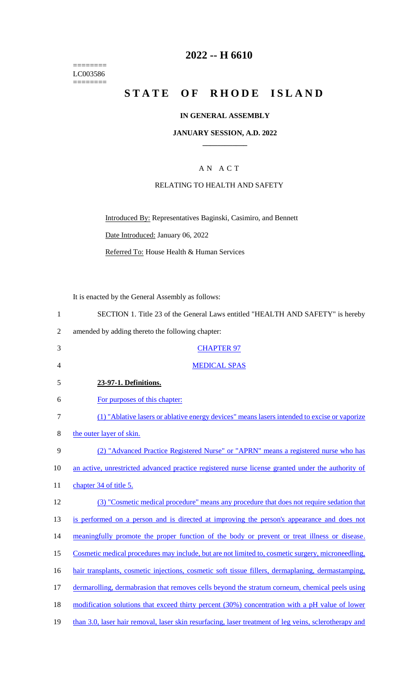======== LC003586  $=$ 

# **2022 -- H 6610**

# STATE OF RHODE ISLAND

## **IN GENERAL ASSEMBLY**

#### **JANUARY SESSION, A.D. 2022 \_\_\_\_\_\_\_\_\_\_\_\_**

## A N A C T

#### RELATING TO HEALTH AND SAFETY

Introduced By: Representatives Baginski, Casimiro, and Bennett Date Introduced: January 06, 2022 Referred To: House Health & Human Services

It is enacted by the General Assembly as follows:

| $\mathbf{1}$   | SECTION 1. Title 23 of the General Laws entitled "HEALTH AND SAFETY" is hereby                        |
|----------------|-------------------------------------------------------------------------------------------------------|
| $\overline{2}$ | amended by adding thereto the following chapter:                                                      |
| 3              | <b>CHAPTER 97</b>                                                                                     |
| 4              | <b>MEDICAL SPAS</b>                                                                                   |
| 5              | 23-97-1. Definitions.                                                                                 |
| 6              | For purposes of this chapter:                                                                         |
| $\tau$         | (1) "Ablative lasers or ablative energy devices" means lasers intended to excise or vaporize          |
| 8              | the outer layer of skin.                                                                              |
| 9              | (2) "Advanced Practice Registered Nurse" or "APRN" means a registered nurse who has                   |
| 10             | an active, unrestricted advanced practice registered nurse license granted under the authority of     |
| 11             | chapter 34 of title 5.                                                                                |
| 12             | (3) "Cosmetic medical procedure" means any procedure that does not require sedation that              |
| 13             | is performed on a person and is directed at improving the person's appearance and does not            |
| 14             | meaningfully promote the proper function of the body or prevent or treat illness or disease.          |
| 15             | Cosmetic medical procedures may include, but are not limited to, cosmetic surgery, microneedling,     |
| 16             | hair transplants, cosmetic injections, cosmetic soft tissue fillers, dermaplaning, dermastamping,     |
| 17             | dermarolling, dermabrasion that removes cells beyond the stratum corneum, chemical peels using        |
| 18             | modification solutions that exceed thirty percent (30%) concentration with a pH value of lower        |
| 19             | than 3.0, laser hair removal, laser skin resurfacing, laser treatment of leg veins, sclerotherapy and |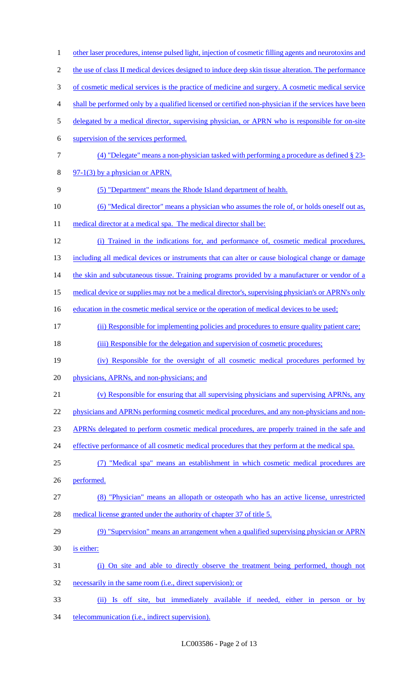| $\mathbf{1}$     | other laser procedures, intense pulsed light, injection of cosmetic filling agents and neurotoxins and |
|------------------|--------------------------------------------------------------------------------------------------------|
| $\overline{2}$   | the use of class II medical devices designed to induce deep skin tissue alteration. The performance    |
| 3                | of cosmetic medical services is the practice of medicine and surgery. A cosmetic medical service       |
| $\overline{4}$   | shall be performed only by a qualified licensed or certified non-physician if the services have been   |
| 5                | delegated by a medical director, supervising physician, or APRN who is responsible for on-site         |
| 6                | supervision of the services performed.                                                                 |
| $\boldsymbol{7}$ | (4) "Delegate" means a non-physician tasked with performing a procedure as defined $\S$ 23-            |
| $8\,$            | $97-1(3)$ by a physician or APRN.                                                                      |
| $\mathbf{9}$     | (5) "Department" means the Rhode Island department of health.                                          |
| 10               | (6) "Medical director" means a physician who assumes the role of, or holds oneself out as,             |
| 11               | medical director at a medical spa. The medical director shall be:                                      |
| 12               | (i) Trained in the indications for, and performance of, cosmetic medical procedures,                   |
| 13               | including all medical devices or instruments that can alter or cause biological change or damage       |
| 14               | the skin and subcutaneous tissue. Training programs provided by a manufacturer or vendor of a          |
| 15               | medical device or supplies may not be a medical director's, supervising physician's or APRN's only     |
| 16               | education in the cosmetic medical service or the operation of medical devices to be used;              |
| 17               | (ii) Responsible for implementing policies and procedures to ensure quality patient care;              |
| 18               | (iii) Responsible for the delegation and supervision of cosmetic procedures;                           |
| 19               | (iv) Responsible for the oversight of all cosmetic medical procedures performed by                     |
| 20               | physicians, APRNs, and non-physicians; and                                                             |
| 21               | (v) Responsible for ensuring that all supervising physicians and supervising APRNs, any                |
| 22               | physicians and APRNs performing cosmetic medical procedures, and any non-physicians and non-           |
| 23               | APRNs delegated to perform cosmetic medical procedures, are properly trained in the safe and           |
| 24               | effective performance of all cosmetic medical procedures that they perform at the medical spa.         |
| 25               | (7) "Medical spa" means an establishment in which cosmetic medical procedures are                      |
| 26               | performed.                                                                                             |
| 27               | (8) "Physician" means an allopath or osteopath who has an active license, unrestricted                 |
| 28               | medical license granted under the authority of chapter 37 of title 5.                                  |
| 29               | (9) "Supervision" means an arrangement when a qualified supervising physician or APRN                  |
| 30               | is either:                                                                                             |
| 31               | (i) On site and able to directly observe the treatment being performed, though not                     |
| 32               | necessarily in the same room (i.e., direct supervision); or                                            |
| 33               | (ii) Is off site, but immediately available if needed, either in person or<br>$by$                     |
| 34               | telecommunication (i.e., indirect supervision).                                                        |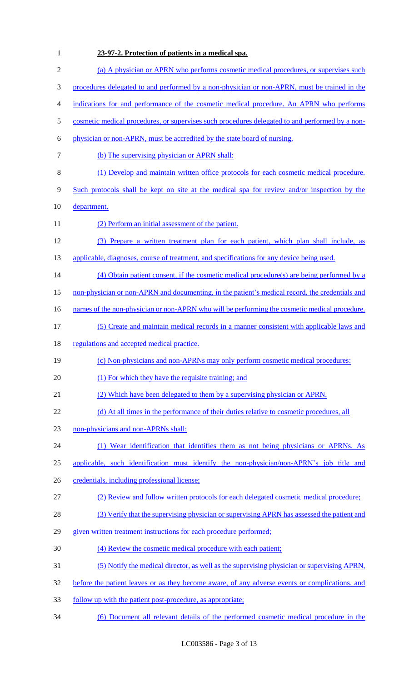| 1              | 23-97-2. Protection of patients in a medical spa.                                               |
|----------------|-------------------------------------------------------------------------------------------------|
| $\mathbf{2}$   | (a) A physician or APRN who performs cosmetic medical procedures, or supervises such            |
| 3              | procedures delegated to and performed by a non-physician or non-APRN, must be trained in the    |
| $\overline{4}$ | indications for and performance of the cosmetic medical procedure. An APRN who performs         |
| 5              | cosmetic medical procedures, or supervises such procedures delegated to and performed by a non- |
| 6              | physician or non-APRN, must be accredited by the state board of nursing.                        |
| 7              | (b) The supervising physician or APRN shall:                                                    |
| $\,8\,$        | (1) Develop and maintain written office protocols for each cosmetic medical procedure.          |
| $\mathbf{9}$   | Such protocols shall be kept on site at the medical spa for review and/or inspection by the     |
| 10             | department.                                                                                     |
| 11             | (2) Perform an initial assessment of the patient.                                               |
| 12             | (3) Prepare a written treatment plan for each patient, which plan shall include, as             |
| 13             | applicable, diagnoses, course of treatment, and specifications for any device being used.       |
| 14             | (4) Obtain patient consent, if the cosmetic medical procedure(s) are being performed by a       |
| 15             | non-physician or non-APRN and documenting, in the patient's medical record, the credentials and |
| 16             | names of the non-physician or non-APRN who will be performing the cosmetic medical procedure.   |
| 17             | (5) Create and maintain medical records in a manner consistent with applicable laws and         |
| 18             | regulations and accepted medical practice.                                                      |
| 19             | (c) Non-physicians and non-APRNs may only perform cosmetic medical procedures:                  |
| 20             | (1) For which they have the requisite training; and                                             |
| 21             | (2) Which have been delegated to them by a supervising physician or APRN.                       |
| 22             | (d) At all times in the performance of their duties relative to cosmetic procedures, all        |
| 23             | non-physicians and non-APRNs shall:                                                             |
| 24             | (1) Wear identification that identifies them as not being physicians or APRNs. As               |
| 25             | applicable, such identification must identify the non-physician/non-APRN's job title and        |
| 26             | credentials, including professional license;                                                    |
| 27             | (2) Review and follow written protocols for each delegated cosmetic medical procedure;          |
| 28             | (3) Verify that the supervising physician or supervising APRN has assessed the patient and      |
| 29             | given written treatment instructions for each procedure performed;                              |
| 30             | (4) Review the cosmetic medical procedure with each patient;                                    |
| 31             | (5) Notify the medical director, as well as the supervising physician or supervising APRN,      |
| 32             | before the patient leaves or as they become aware, of any adverse events or complications, and  |
| 33             | <u>follow up with the patient post-procedure, as appropriate:</u>                               |
| 34             | (6) Document all relevant details of the performed cosmetic medical procedure in the            |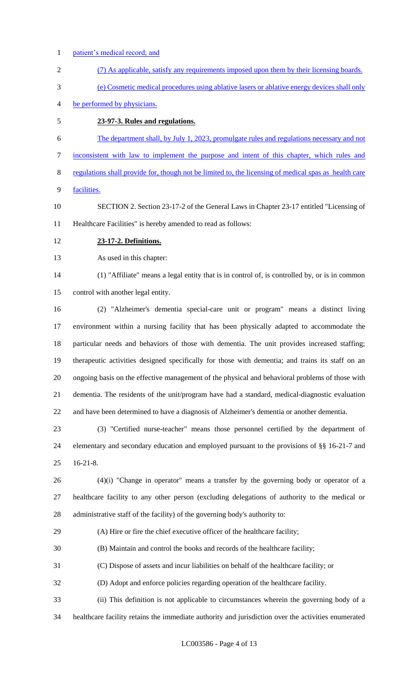- patient's medical record; and
- (7) As applicable, satisfy any requirements imposed upon them by their licensing boards.
- (e) Cosmetic medical procedures using ablative lasers or ablative energy devices shall only
- be performed by physicians.
- **23-97-3. Rules and regulations.**
- The department shall, by July 1, 2023, promulgate rules and regulations necessary and not
- inconsistent with law to implement the purpose and intent of this chapter, which rules and
- regulations shall provide for, though not be limited to, the licensing of medical spas as health care
- facilities.
- SECTION 2. Section 23-17-2 of the General Laws in Chapter 23-17 entitled "Licensing of Healthcare Facilities" is hereby amended to read as follows:
- **23-17-2. Definitions.**
- As used in this chapter:

 (1) "Affiliate" means a legal entity that is in control of, is controlled by, or is in common control with another legal entity.

 (2) "Alzheimer's dementia special-care unit or program" means a distinct living environment within a nursing facility that has been physically adapted to accommodate the particular needs and behaviors of those with dementia. The unit provides increased staffing; therapeutic activities designed specifically for those with dementia; and trains its staff on an ongoing basis on the effective management of the physical and behavioral problems of those with dementia. The residents of the unit/program have had a standard, medical-diagnostic evaluation and have been determined to have a diagnosis of Alzheimer's dementia or another dementia.

 (3) "Certified nurse-teacher" means those personnel certified by the department of elementary and secondary education and employed pursuant to the provisions of §§ 16-21-7 and 16-21-8.

 (4)(i) "Change in operator" means a transfer by the governing body or operator of a healthcare facility to any other person (excluding delegations of authority to the medical or administrative staff of the facility) of the governing body's authority to:

- (A) Hire or fire the chief executive officer of the healthcare facility;
- (B) Maintain and control the books and records of the healthcare facility;
- (C) Dispose of assets and incur liabilities on behalf of the healthcare facility; or
- (D) Adopt and enforce policies regarding operation of the healthcare facility.

(ii) This definition is not applicable to circumstances wherein the governing body of a

healthcare facility retains the immediate authority and jurisdiction over the activities enumerated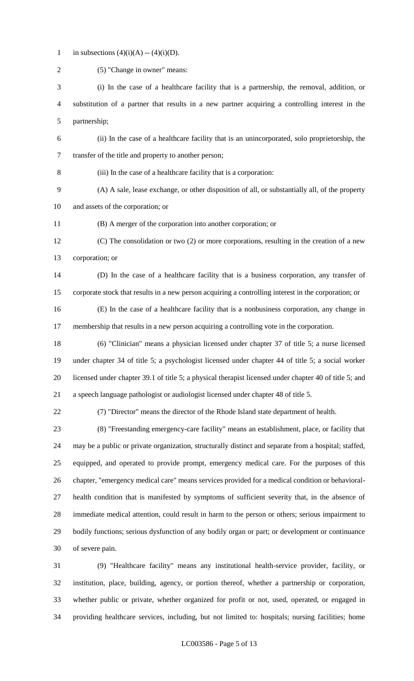1 in subsections  $(4)(i)(A) - (4)(i)(D)$ .

| $\overline{2}$ | (5) "Change in owner" means:                                                                           |
|----------------|--------------------------------------------------------------------------------------------------------|
| 3              | (i) In the case of a healthcare facility that is a partnership, the removal, addition, or              |
| 4              | substitution of a partner that results in a new partner acquiring a controlling interest in the        |
| 5              | partnership;                                                                                           |
| 6              | (ii) In the case of a healthcare facility that is an unincorporated, solo proprietorship, the          |
| $\tau$         | transfer of the title and property to another person;                                                  |
| $8\,$          | (iii) In the case of a healthcare facility that is a corporation:                                      |
| $\mathbf{9}$   | (A) A sale, lease exchange, or other disposition of all, or substantially all, of the property         |
| 10             | and assets of the corporation; or                                                                      |
| 11             | (B) A merger of the corporation into another corporation; or                                           |
| 12             | (C) The consolidation or two (2) or more corporations, resulting in the creation of a new              |
| 13             | corporation; or                                                                                        |
| 14             | (D) In the case of a healthcare facility that is a business corporation, any transfer of               |
| 15             | corporate stock that results in a new person acquiring a controlling interest in the corporation; or   |
| 16             | (E) In the case of a healthcare facility that is a nonbusiness corporation, any change in              |
| 17             | membership that results in a new person acquiring a controlling vote in the corporation.               |
| 18             | (6) "Clinician" means a physician licensed under chapter 37 of title 5; a nurse licensed               |
| 19             | under chapter 34 of title 5; a psychologist licensed under chapter 44 of title 5; a social worker      |
| 20             | licensed under chapter 39.1 of title 5; a physical therapist licensed under chapter 40 of title 5; and |
| 21             | a speech language pathologist or audiologist licensed under chapter 48 of title 5.                     |
| 22             | (7) "Director" means the director of the Rhode Island state department of health.                      |
| 23             | (8) "Freestanding emergency-care facility" means an establishment, place, or facility that             |
| 24             | may be a public or private organization, structurally distinct and separate from a hospital; staffed,  |
| 25             | equipped, and operated to provide prompt, emergency medical care. For the purposes of this             |
| 26             | chapter, "emergency medical care" means services provided for a medical condition or behavioral-       |
| 27             | health condition that is manifested by symptoms of sufficient severity that, in the absence of         |
| 28             | immediate medical attention, could result in harm to the person or others; serious impairment to       |
| 29             | bodily functions; serious dysfunction of any bodily organ or part; or development or continuance       |
| 30             | of severe pain.                                                                                        |
| 31             | (9) "Healthcare facility" means any institutional health-service provider, facility, or                |
| 32             | institution, place, building, agency, or portion thereof, whether a partnership or corporation,        |

 whether public or private, whether organized for profit or not, used, operated, or engaged in providing healthcare services, including, but not limited to: hospitals; nursing facilities; home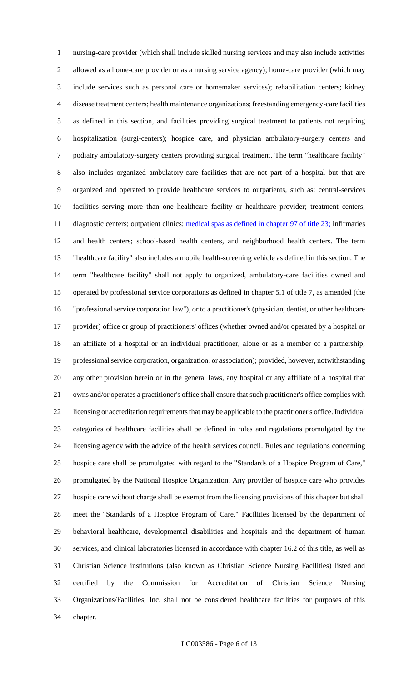nursing-care provider (which shall include skilled nursing services and may also include activities allowed as a home-care provider or as a nursing service agency); home-care provider (which may include services such as personal care or homemaker services); rehabilitation centers; kidney disease treatment centers; health maintenance organizations; freestanding emergency-care facilities as defined in this section, and facilities providing surgical treatment to patients not requiring hospitalization (surgi-centers); hospice care, and physician ambulatory-surgery centers and podiatry ambulatory-surgery centers providing surgical treatment. The term "healthcare facility" also includes organized ambulatory-care facilities that are not part of a hospital but that are organized and operated to provide healthcare services to outpatients, such as: central-services facilities serving more than one healthcare facility or healthcare provider; treatment centers; 11 diagnostic centers; outpatient clinics; medical spas as defined in chapter 97 of title 23; infirmaries and health centers; school-based health centers, and neighborhood health centers. The term "healthcare facility" also includes a mobile health-screening vehicle as defined in this section. The term "healthcare facility" shall not apply to organized, ambulatory-care facilities owned and operated by professional service corporations as defined in chapter 5.1 of title 7, as amended (the "professional service corporation law"), or to a practitioner's (physician, dentist, or other healthcare provider) office or group of practitioners' offices (whether owned and/or operated by a hospital or an affiliate of a hospital or an individual practitioner, alone or as a member of a partnership, professional service corporation, organization, or association); provided, however, notwithstanding any other provision herein or in the general laws, any hospital or any affiliate of a hospital that owns and/or operates a practitioner's office shall ensure that such practitioner's office complies with licensing or accreditation requirements that may be applicable to the practitioner's office. Individual categories of healthcare facilities shall be defined in rules and regulations promulgated by the licensing agency with the advice of the health services council. Rules and regulations concerning hospice care shall be promulgated with regard to the "Standards of a Hospice Program of Care," promulgated by the National Hospice Organization. Any provider of hospice care who provides hospice care without charge shall be exempt from the licensing provisions of this chapter but shall meet the "Standards of a Hospice Program of Care." Facilities licensed by the department of behavioral healthcare, developmental disabilities and hospitals and the department of human services, and clinical laboratories licensed in accordance with chapter 16.2 of this title, as well as Christian Science institutions (also known as Christian Science Nursing Facilities) listed and certified by the Commission for Accreditation of Christian Science Nursing Organizations/Facilities, Inc. shall not be considered healthcare facilities for purposes of this chapter.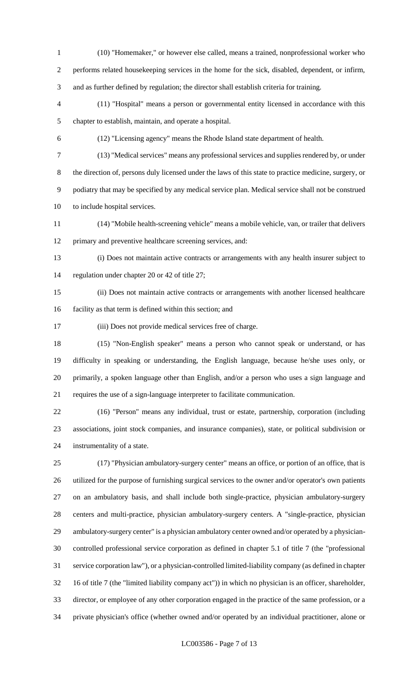(10) "Homemaker," or however else called, means a trained, nonprofessional worker who performs related housekeeping services in the home for the sick, disabled, dependent, or infirm, and as further defined by regulation; the director shall establish criteria for training.

 (11) "Hospital" means a person or governmental entity licensed in accordance with this chapter to establish, maintain, and operate a hospital.

(12) "Licensing agency" means the Rhode Island state department of health.

 (13) "Medical services" means any professional services and supplies rendered by, or under the direction of, persons duly licensed under the laws of this state to practice medicine, surgery, or podiatry that may be specified by any medical service plan. Medical service shall not be construed to include hospital services.

 (14) "Mobile health-screening vehicle" means a mobile vehicle, van, or trailer that delivers primary and preventive healthcare screening services, and:

 (i) Does not maintain active contracts or arrangements with any health insurer subject to regulation under chapter 20 or 42 of title 27;

 (ii) Does not maintain active contracts or arrangements with another licensed healthcare facility as that term is defined within this section; and

(iii) Does not provide medical services free of charge.

 (15) "Non-English speaker" means a person who cannot speak or understand, or has difficulty in speaking or understanding, the English language, because he/she uses only, or primarily, a spoken language other than English, and/or a person who uses a sign language and requires the use of a sign-language interpreter to facilitate communication.

 (16) "Person" means any individual, trust or estate, partnership, corporation (including associations, joint stock companies, and insurance companies), state, or political subdivision or instrumentality of a state.

 (17) "Physician ambulatory-surgery center" means an office, or portion of an office, that is utilized for the purpose of furnishing surgical services to the owner and/or operator's own patients on an ambulatory basis, and shall include both single-practice, physician ambulatory-surgery centers and multi-practice, physician ambulatory-surgery centers. A "single-practice, physician ambulatory-surgery center" is a physician ambulatory center owned and/or operated by a physician- controlled professional service corporation as defined in chapter 5.1 of title 7 (the "professional service corporation law"), or a physician-controlled limited-liability company (as defined in chapter 16 of title 7 (the "limited liability company act")) in which no physician is an officer, shareholder, director, or employee of any other corporation engaged in the practice of the same profession, or a private physician's office (whether owned and/or operated by an individual practitioner, alone or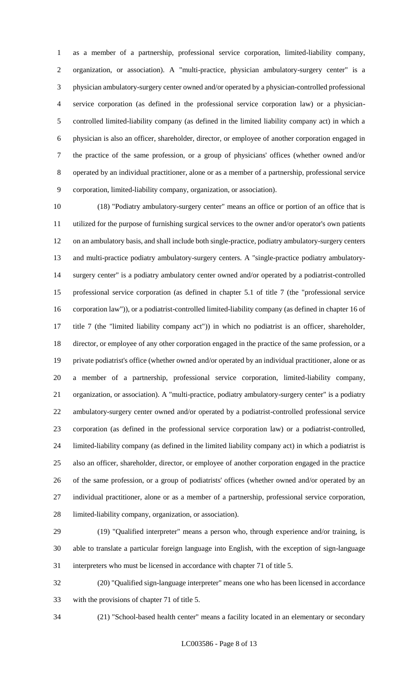as a member of a partnership, professional service corporation, limited-liability company, organization, or association). A "multi-practice, physician ambulatory-surgery center" is a physician ambulatory-surgery center owned and/or operated by a physician-controlled professional service corporation (as defined in the professional service corporation law) or a physician- controlled limited-liability company (as defined in the limited liability company act) in which a physician is also an officer, shareholder, director, or employee of another corporation engaged in the practice of the same profession, or a group of physicians' offices (whether owned and/or operated by an individual practitioner, alone or as a member of a partnership, professional service corporation, limited-liability company, organization, or association).

 (18) "Podiatry ambulatory-surgery center" means an office or portion of an office that is utilized for the purpose of furnishing surgical services to the owner and/or operator's own patients on an ambulatory basis, and shall include both single-practice, podiatry ambulatory-surgery centers and multi-practice podiatry ambulatory-surgery centers. A "single-practice podiatry ambulatory- surgery center" is a podiatry ambulatory center owned and/or operated by a podiatrist-controlled professional service corporation (as defined in chapter 5.1 of title 7 (the "professional service corporation law")), or a podiatrist-controlled limited-liability company (as defined in chapter 16 of title 7 (the "limited liability company act")) in which no podiatrist is an officer, shareholder, director, or employee of any other corporation engaged in the practice of the same profession, or a private podiatrist's office (whether owned and/or operated by an individual practitioner, alone or as a member of a partnership, professional service corporation, limited-liability company, organization, or association). A "multi-practice, podiatry ambulatory-surgery center" is a podiatry ambulatory-surgery center owned and/or operated by a podiatrist-controlled professional service corporation (as defined in the professional service corporation law) or a podiatrist-controlled, limited-liability company (as defined in the limited liability company act) in which a podiatrist is also an officer, shareholder, director, or employee of another corporation engaged in the practice of the same profession, or a group of podiatrists' offices (whether owned and/or operated by an individual practitioner, alone or as a member of a partnership, professional service corporation, limited-liability company, organization, or association).

 (19) "Qualified interpreter" means a person who, through experience and/or training, is able to translate a particular foreign language into English, with the exception of sign-language interpreters who must be licensed in accordance with chapter 71 of title 5.

 (20) "Qualified sign-language interpreter" means one who has been licensed in accordance with the provisions of chapter 71 of title 5.

(21) "School-based health center" means a facility located in an elementary or secondary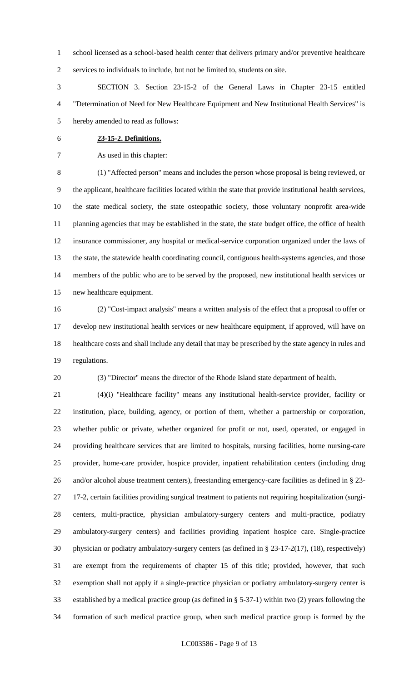school licensed as a school-based health center that delivers primary and/or preventive healthcare services to individuals to include, but not be limited to, students on site.

 SECTION 3. Section 23-15-2 of the General Laws in Chapter 23-15 entitled "Determination of Need for New Healthcare Equipment and New Institutional Health Services" is hereby amended to read as follows:

**23-15-2. Definitions.**

As used in this chapter:

 (1) "Affected person" means and includes the person whose proposal is being reviewed, or the applicant, healthcare facilities located within the state that provide institutional health services, the state medical society, the state osteopathic society, those voluntary nonprofit area-wide 11 planning agencies that may be established in the state, the state budget office, the office of health insurance commissioner, any hospital or medical-service corporation organized under the laws of the state, the statewide health coordinating council, contiguous health-systems agencies, and those members of the public who are to be served by the proposed, new institutional health services or new healthcare equipment.

 (2) "Cost-impact analysis" means a written analysis of the effect that a proposal to offer or develop new institutional health services or new healthcare equipment, if approved, will have on healthcare costs and shall include any detail that may be prescribed by the state agency in rules and regulations.

(3) "Director" means the director of the Rhode Island state department of health.

 (4)(i) "Healthcare facility" means any institutional health-service provider, facility or institution, place, building, agency, or portion of them, whether a partnership or corporation, whether public or private, whether organized for profit or not, used, operated, or engaged in providing healthcare services that are limited to hospitals, nursing facilities, home nursing-care provider, home-care provider, hospice provider, inpatient rehabilitation centers (including drug and/or alcohol abuse treatment centers), freestanding emergency-care facilities as defined in § 23- 17-2, certain facilities providing surgical treatment to patients not requiring hospitalization (surgi- centers, multi-practice, physician ambulatory-surgery centers and multi-practice, podiatry ambulatory-surgery centers) and facilities providing inpatient hospice care. Single-practice physician or podiatry ambulatory-surgery centers (as defined in § 23-17-2(17), (18), respectively) are exempt from the requirements of chapter 15 of this title; provided, however, that such exemption shall not apply if a single-practice physician or podiatry ambulatory-surgery center is established by a medical practice group (as defined in § 5-37-1) within two (2) years following the formation of such medical practice group, when such medical practice group is formed by the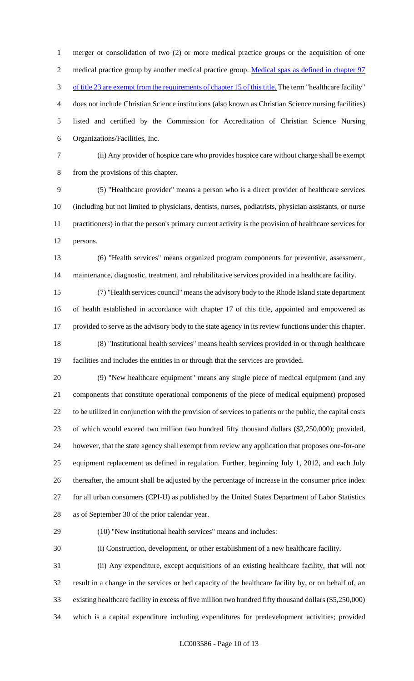merger or consolidation of two (2) or more medical practice groups or the acquisition of one 2 medical practice group by another medical practice group. Medical spas as defined in chapter 97 3 of title 23 are exempt from the requirements of chapter 15 of this title. The term "healthcare facility" does not include Christian Science institutions (also known as Christian Science nursing facilities) listed and certified by the Commission for Accreditation of Christian Science Nursing Organizations/Facilities, Inc.

 (ii) Any provider of hospice care who provides hospice care without charge shall be exempt from the provisions of this chapter.

 (5) "Healthcare provider" means a person who is a direct provider of healthcare services (including but not limited to physicians, dentists, nurses, podiatrists, physician assistants, or nurse practitioners) in that the person's primary current activity is the provision of healthcare services for persons.

 (6) "Health services" means organized program components for preventive, assessment, maintenance, diagnostic, treatment, and rehabilitative services provided in a healthcare facility.

 (7) "Health services council" means the advisory body to the Rhode Island state department of health established in accordance with chapter 17 of this title, appointed and empowered as provided to serve as the advisory body to the state agency in its review functions under this chapter. (8) "Institutional health services" means health services provided in or through healthcare facilities and includes the entities in or through that the services are provided.

 (9) "New healthcare equipment" means any single piece of medical equipment (and any components that constitute operational components of the piece of medical equipment) proposed to be utilized in conjunction with the provision of services to patients or the public, the capital costs of which would exceed two million two hundred fifty thousand dollars (\$2,250,000); provided, however, that the state agency shall exempt from review any application that proposes one-for-one equipment replacement as defined in regulation. Further, beginning July 1, 2012, and each July thereafter, the amount shall be adjusted by the percentage of increase in the consumer price index for all urban consumers (CPI-U) as published by the United States Department of Labor Statistics as of September 30 of the prior calendar year.

(10) "New institutional health services" means and includes:

(i) Construction, development, or other establishment of a new healthcare facility.

 (ii) Any expenditure, except acquisitions of an existing healthcare facility, that will not result in a change in the services or bed capacity of the healthcare facility by, or on behalf of, an existing healthcare facility in excess of five million two hundred fifty thousand dollars (\$5,250,000) which is a capital expenditure including expenditures for predevelopment activities; provided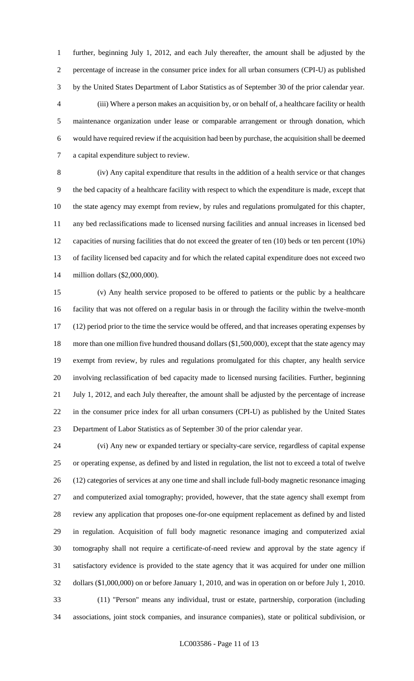further, beginning July 1, 2012, and each July thereafter, the amount shall be adjusted by the percentage of increase in the consumer price index for all urban consumers (CPI-U) as published by the United States Department of Labor Statistics as of September 30 of the prior calendar year. (iii) Where a person makes an acquisition by, or on behalf of, a healthcare facility or health maintenance organization under lease or comparable arrangement or through donation, which would have required review if the acquisition had been by purchase, the acquisition shall be deemed a capital expenditure subject to review.

 (iv) Any capital expenditure that results in the addition of a health service or that changes the bed capacity of a healthcare facility with respect to which the expenditure is made, except that the state agency may exempt from review, by rules and regulations promulgated for this chapter, any bed reclassifications made to licensed nursing facilities and annual increases in licensed bed capacities of nursing facilities that do not exceed the greater of ten (10) beds or ten percent (10%) of facility licensed bed capacity and for which the related capital expenditure does not exceed two million dollars (\$2,000,000).

 (v) Any health service proposed to be offered to patients or the public by a healthcare facility that was not offered on a regular basis in or through the facility within the twelve-month (12) period prior to the time the service would be offered, and that increases operating expenses by 18 more than one million five hundred thousand dollars (\$1,500,000), except that the state agency may exempt from review, by rules and regulations promulgated for this chapter, any health service involving reclassification of bed capacity made to licensed nursing facilities. Further, beginning July 1, 2012, and each July thereafter, the amount shall be adjusted by the percentage of increase in the consumer price index for all urban consumers (CPI-U) as published by the United States Department of Labor Statistics as of September 30 of the prior calendar year.

 (vi) Any new or expanded tertiary or specialty-care service, regardless of capital expense or operating expense, as defined by and listed in regulation, the list not to exceed a total of twelve (12) categories of services at any one time and shall include full-body magnetic resonance imaging and computerized axial tomography; provided, however, that the state agency shall exempt from review any application that proposes one-for-one equipment replacement as defined by and listed in regulation. Acquisition of full body magnetic resonance imaging and computerized axial tomography shall not require a certificate-of-need review and approval by the state agency if satisfactory evidence is provided to the state agency that it was acquired for under one million dollars (\$1,000,000) on or before January 1, 2010, and was in operation on or before July 1, 2010. (11) "Person" means any individual, trust or estate, partnership, corporation (including associations, joint stock companies, and insurance companies), state or political subdivision, or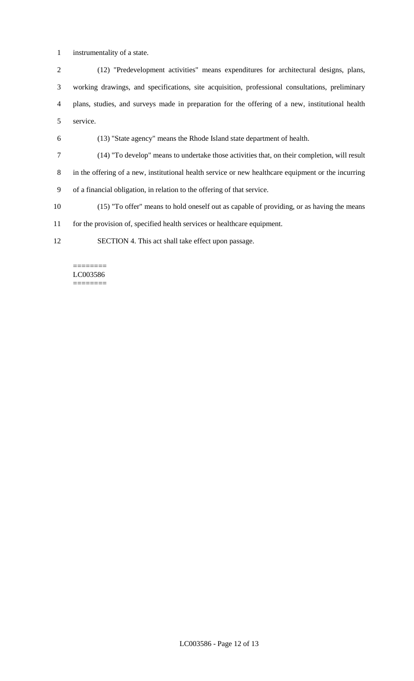instrumentality of a state.

 (12) "Predevelopment activities" means expenditures for architectural designs, plans, working drawings, and specifications, site acquisition, professional consultations, preliminary plans, studies, and surveys made in preparation for the offering of a new, institutional health service.

(13) "State agency" means the Rhode Island state department of health.

 (14) "To develop" means to undertake those activities that, on their completion, will result in the offering of a new, institutional health service or new healthcare equipment or the incurring of a financial obligation, in relation to the offering of that service.

(15) "To offer" means to hold oneself out as capable of providing, or as having the means

for the provision of, specified health services or healthcare equipment.

SECTION 4. This act shall take effect upon passage.

======== LC003586 ========